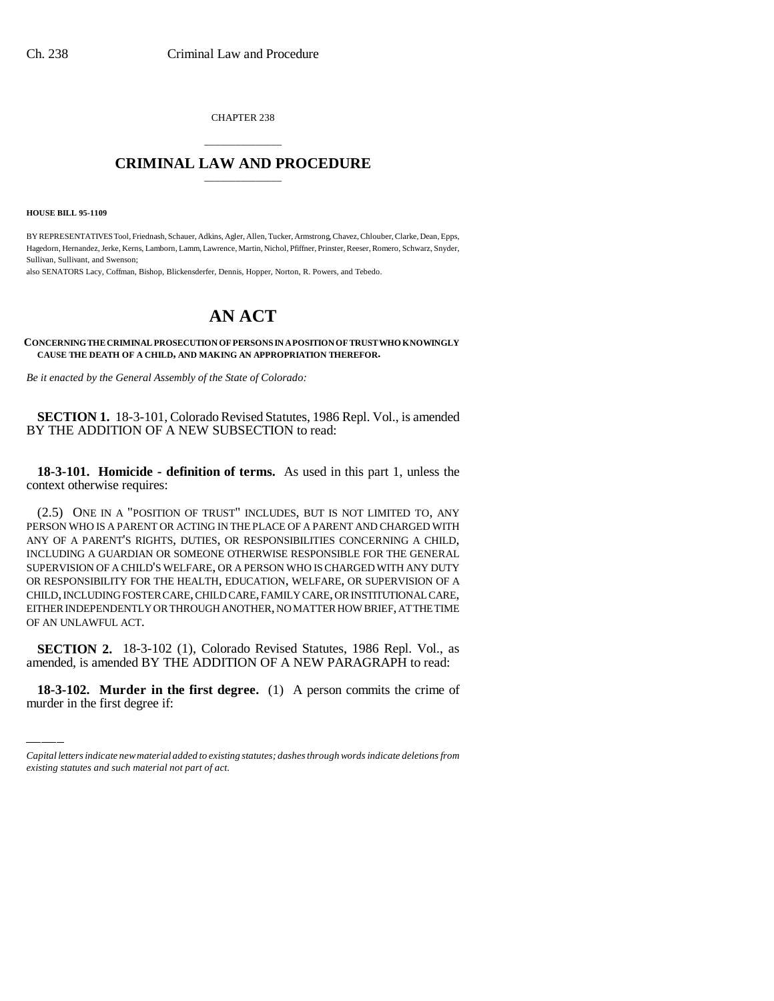CHAPTER 238

## \_\_\_\_\_\_\_\_\_\_\_\_\_\_\_ **CRIMINAL LAW AND PROCEDURE** \_\_\_\_\_\_\_\_\_\_\_\_\_\_\_

**HOUSE BILL 95-1109**

BY REPRESENTATIVES Tool, Friednash, Schauer, Adkins, Agler, Allen, Tucker, Armstrong, Chavez, Chlouber, Clarke, Dean, Epps, Hagedorn, Hernandez, Jerke, Kerns, Lamborn, Lamm, Lawrence, Martin, Nichol, Pfiffner, Prinster, Reeser, Romero, Schwarz, Snyder, Sullivan, Sullivant, and Swenson;

also SENATORS Lacy, Coffman, Bishop, Blickensderfer, Dennis, Hopper, Norton, R. Powers, and Tebedo.

## **AN ACT**

**CONCERNING THE CRIMINAL PROSECUTION OF PERSONS IN A POSITION OF TRUST WHO KNOWINGLY CAUSE THE DEATH OF A CHILD, AND MAKING AN APPROPRIATION THEREFOR.**

*Be it enacted by the General Assembly of the State of Colorado:*

**SECTION 1.** 18-3-101, Colorado Revised Statutes, 1986 Repl. Vol., is amended BY THE ADDITION OF A NEW SUBSECTION to read:

**18-3-101. Homicide - definition of terms.** As used in this part 1, unless the context otherwise requires:

(2.5) ONE IN A "POSITION OF TRUST" INCLUDES, BUT IS NOT LIMITED TO, ANY PERSON WHO IS A PARENT OR ACTING IN THE PLACE OF A PARENT AND CHARGED WITH ANY OF A PARENT'S RIGHTS, DUTIES, OR RESPONSIBILITIES CONCERNING A CHILD, INCLUDING A GUARDIAN OR SOMEONE OTHERWISE RESPONSIBLE FOR THE GENERAL SUPERVISION OF A CHILD'S WELFARE, OR A PERSON WHO IS CHARGED WITH ANY DUTY OR RESPONSIBILITY FOR THE HEALTH, EDUCATION, WELFARE, OR SUPERVISION OF A CHILD, INCLUDING FOSTER CARE, CHILD CARE, FAMILY CARE, OR INSTITUTIONAL CARE, EITHER INDEPENDENTLY OR THROUGH ANOTHER, NO MATTER HOW BRIEF, AT THE TIME OF AN UNLAWFUL ACT.

 **SECTION 2.** 18-3-102 (1), Colorado Revised Statutes, 1986 Repl. Vol., as amended, is amended BY THE ADDITION OF A NEW PARAGRAPH to read:

**18-3-102. Murder in the first degree.** (1) A person commits the crime of murder in the first degree if:

*Capital letters indicate new material added to existing statutes; dashes through words indicate deletions from existing statutes and such material not part of act.*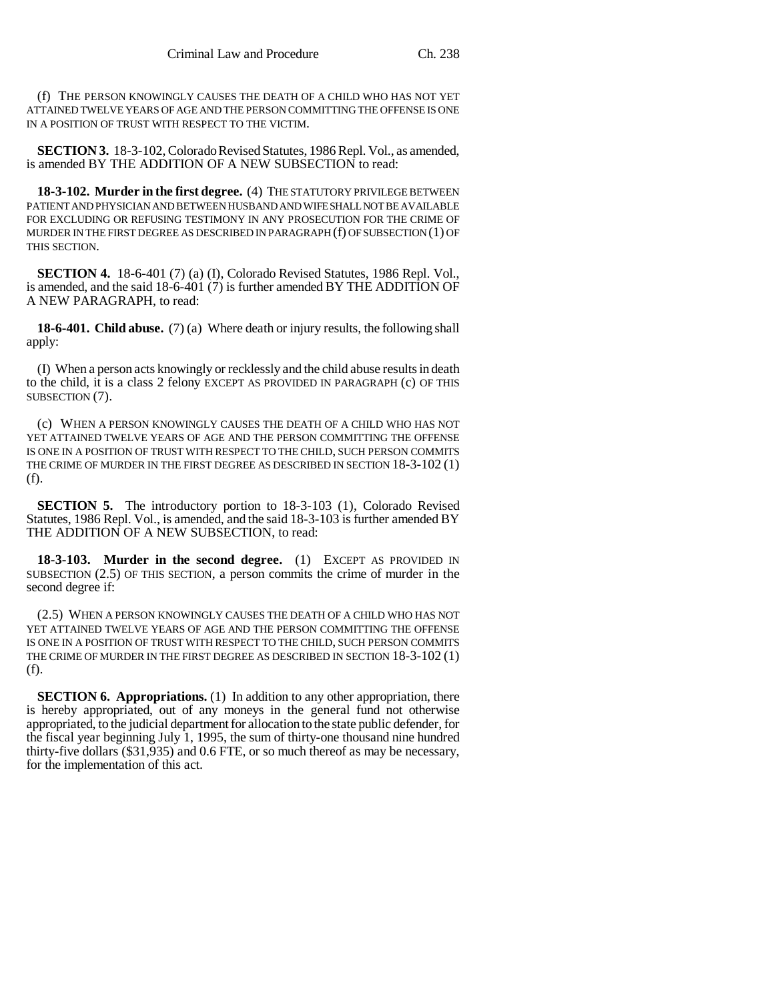(f) THE PERSON KNOWINGLY CAUSES THE DEATH OF A CHILD WHO HAS NOT YET ATTAINED TWELVE YEARS OF AGE AND THE PERSON COMMITTING THE OFFENSE IS ONE IN A POSITION OF TRUST WITH RESPECT TO THE VICTIM.

**SECTION 3.** 18-3-102, Colorado Revised Statutes, 1986 Repl. Vol., as amended, is amended BY THE ADDITION OF A NEW SUBSECTION to read:

**18-3-102. Murder in the first degree.** (4) THE STATUTORY PRIVILEGE BETWEEN PATIENT AND PHYSICIAN AND BETWEEN HUSBAND AND WIFE SHALL NOT BE AVAILABLE FOR EXCLUDING OR REFUSING TESTIMONY IN ANY PROSECUTION FOR THE CRIME OF MURDER IN THE FIRST DEGREE AS DESCRIBED IN PARAGRAPH (f) OF SUBSECTION (1) OF THIS SECTION.

**SECTION 4.** 18-6-401 (7) (a) (I), Colorado Revised Statutes, 1986 Repl. Vol., is amended, and the said 18-6-401 (7) is further amended BY THE ADDITION OF A NEW PARAGRAPH, to read:

**18-6-401. Child abuse.** (7) (a) Where death or injury results, the following shall apply:

(I) When a person acts knowingly or recklessly and the child abuse results in death to the child, it is a class 2 felony EXCEPT AS PROVIDED IN PARAGRAPH (c) OF THIS SUBSECTION (7).

(c) WHEN A PERSON KNOWINGLY CAUSES THE DEATH OF A CHILD WHO HAS NOT YET ATTAINED TWELVE YEARS OF AGE AND THE PERSON COMMITTING THE OFFENSE IS ONE IN A POSITION OF TRUST WITH RESPECT TO THE CHILD, SUCH PERSON COMMITS THE CRIME OF MURDER IN THE FIRST DEGREE AS DESCRIBED IN SECTION 18-3-102 (1) (f).

**SECTION 5.** The introductory portion to 18-3-103 (1), Colorado Revised Statutes, 1986 Repl. Vol., is amended, and the said 18-3-103 is further amended BY THE ADDITION OF A NEW SUBSECTION, to read:

**18-3-103. Murder in the second degree.** (1) EXCEPT AS PROVIDED IN SUBSECTION (2.5) OF THIS SECTION, a person commits the crime of murder in the second degree if:

(2.5) WHEN A PERSON KNOWINGLY CAUSES THE DEATH OF A CHILD WHO HAS NOT YET ATTAINED TWELVE YEARS OF AGE AND THE PERSON COMMITTING THE OFFENSE IS ONE IN A POSITION OF TRUST WITH RESPECT TO THE CHILD, SUCH PERSON COMMITS THE CRIME OF MURDER IN THE FIRST DEGREE AS DESCRIBED IN SECTION 18-3-102 (1) (f).

**SECTION 6. Appropriations.** (1) In addition to any other appropriation, there is hereby appropriated, out of any moneys in the general fund not otherwise appropriated, to the judicial department for allocation to the state public defender, for the fiscal year beginning July 1, 1995, the sum of thirty-one thousand nine hundred thirty-five dollars (\$31,935) and 0.6 FTE, or so much thereof as may be necessary, for the implementation of this act.